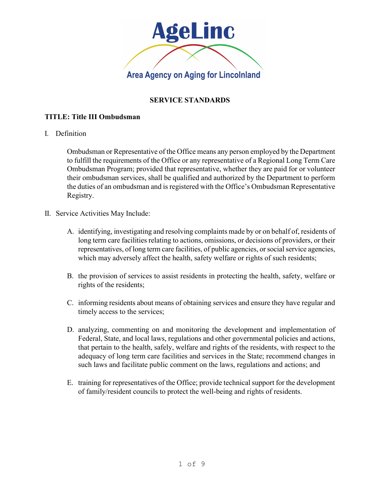

## **SERVICE STANDARDS**

## **TITLE: Title III Ombudsman**

I. Definition

Ombudsman or Representative of the Office means any person employed by the Department to fulfill the requirements of the Office or any representative of a Regional Long Term Care Ombudsman Program; provided that representative, whether they are paid for or volunteer their ombudsman services, shall be qualified and authorized by the Department to perform the duties of an ombudsman and is registered with the Office's Ombudsman Representative Registry.

- II. Service Activities May Include:
	- A. identifying, investigating and resolving complaints made by or on behalf of, residents of long term care facilities relating to actions, omissions, or decisions of providers, or their representatives, of long term care facilities, of public agencies, or social service agencies, which may adversely affect the health, safety welfare or rights of such residents;
	- B. the provision of services to assist residents in protecting the health, safety, welfare or rights of the residents;
	- C. informing residents about means of obtaining services and ensure they have regular and timely access to the services;
	- D. analyzing, commenting on and monitoring the development and implementation of Federal, State, and local laws, regulations and other governmental policies and actions, that pertain to the health, safely, welfare and rights of the residents, with respect to the adequacy of long term care facilities and services in the State; recommend changes in such laws and facilitate public comment on the laws, regulations and actions; and
	- E. training for representatives of the Office; provide technical support for the development of family/resident councils to protect the well-being and rights of residents.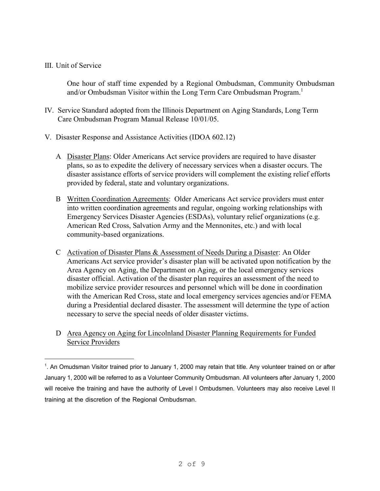## III. Unit of Service

One hour of staff time expended by a Regional Ombudsman, Community Ombudsman and/or Ombudsman Visitor within the Long Term Care Ombudsman Program.<sup>1</sup>

- IV. Service Standard adopted from the Illinois Department on Aging Standards, Long Term Care Ombudsman Program Manual Release 10/01/05.
- V. Disaster Response and Assistance Activities (IDOA 602.12)
	- A Disaster Plans: Older Americans Act service providers are required to have disaster plans, so as to expedite the delivery of necessary services when a disaster occurs. The disaster assistance efforts of service providers will complement the existing relief efforts provided by federal, state and voluntary organizations.
	- B Written Coordination Agreements: Older Americans Act service providers must enter into written coordination agreements and regular, ongoing working relationships with Emergency Services Disaster Agencies (ESDAs), voluntary relief organizations (e.g. American Red Cross, Salvation Army and the Mennonites, etc.) and with local community-based organizations.
	- C Activation of Disaster Plans & Assessment of Needs During a Disaster: An Older Americans Act service provider's disaster plan will be activated upon notification by the Area Agency on Aging, the Department on Aging, or the local emergency services disaster official. Activation of the disaster plan requires an assessment of the need to mobilize service provider resources and personnel which will be done in coordination with the American Red Cross, state and local emergency services agencies and/or FEMA during a Presidential declared disaster. The assessment will determine the type of action necessary to serve the special needs of older disaster victims.
	- D Area Agency on Aging for Lincolnland Disaster Planning Requirements for Funded Service Providers

<sup>1</sup> . An Omudsman Visitor trained prior to January 1, 2000 may retain that title. Any volunteer trained on or after January 1, 2000 will be referred to as a Volunteer Community Ombudsman. All volunteers after January 1, 2000 will receive the training and have the authority of Level I Ombudsmen. Volunteers may also receive Level II training at the discretion of the Regional Ombudsman.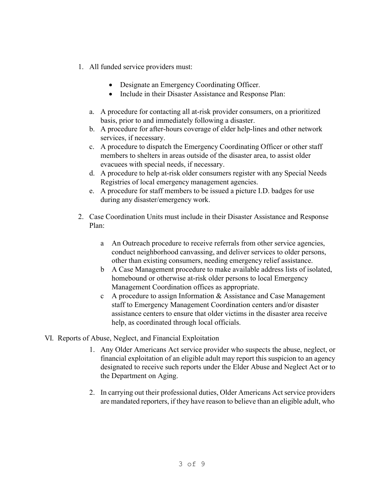- 1. All funded service providers must:
	- Designate an Emergency Coordinating Officer.
	- Include in their Disaster Assistance and Response Plan:
	- a. A procedure for contacting all at-risk provider consumers, on a prioritized basis, prior to and immediately following a disaster.
	- b. A procedure for after-hours coverage of elder help-lines and other network services, if necessary.
	- c. A procedure to dispatch the Emergency Coordinating Officer or other staff members to shelters in areas outside of the disaster area, to assist older evacuees with special needs, if necessary.
	- d. A procedure to help at-risk older consumers register with any Special Needs Registries of local emergency management agencies.
	- e. A procedure for staff members to be issued a picture I.D. badges for use during any disaster/emergency work.
- 2. Case Coordination Units must include in their Disaster Assistance and Response Plan:
	- a An Outreach procedure to receive referrals from other service agencies, conduct neighborhood canvassing, and deliver services to older persons, other than existing consumers, needing emergency relief assistance.
	- b A Case Management procedure to make available address lists of isolated, homebound or otherwise at-risk older persons to local Emergency Management Coordination offices as appropriate.
	- c A procedure to assign Information & Assistance and Case Management staff to Emergency Management Coordination centers and/or disaster assistance centers to ensure that older victims in the disaster area receive help, as coordinated through local officials.
- VI. Reports of Abuse, Neglect, and Financial Exploitation
	- 1. Any Older Americans Act service provider who suspects the abuse, neglect, or financial exploitation of an eligible adult may report this suspicion to an agency designated to receive such reports under the Elder Abuse and Neglect Act or to the Department on Aging.
	- 2. In carrying out their professional duties, Older Americans Act service providers are mandated reporters, if they have reason to believe than an eligible adult, who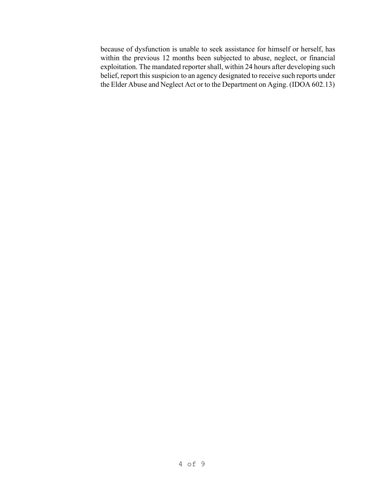because of dysfunction is unable to seek assistance for himself or herself, has within the previous 12 months been subjected to abuse, neglect, or financial exploitation. The mandated reporter shall, within 24 hours after developing such belief, report this suspicion to an agency designated to receive such reports under the Elder Abuse and Neglect Act or to the Department on Aging. (IDOA 602.13)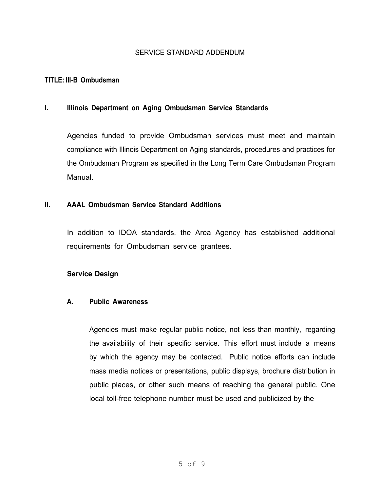## SERVICE STANDARD ADDENDUM

#### **TITLE: III-B Ombudsman**

#### **I. Illinois Department on Aging Ombudsman Service Standards**

Agencies funded to provide Ombudsman services must meet and maintain compliance with Illinois Department on Aging standards, procedures and practices for the Ombudsman Program as specified in the Long Term Care Ombudsman Program Manual.

#### **II. AAAL Ombudsman Service Standard Additions**

In addition to IDOA standards, the Area Agency has established additional requirements for Ombudsman service grantees.

#### **Service Design**

#### **A. Public Awareness**

Agencies must make regular public notice, not less than monthly, regarding the availability of their specific service. This effort must include a means by which the agency may be contacted. Public notice efforts can include mass media notices or presentations, public displays, brochure distribution in public places, or other such means of reaching the general public. One local toll-free telephone number must be used and publicized by the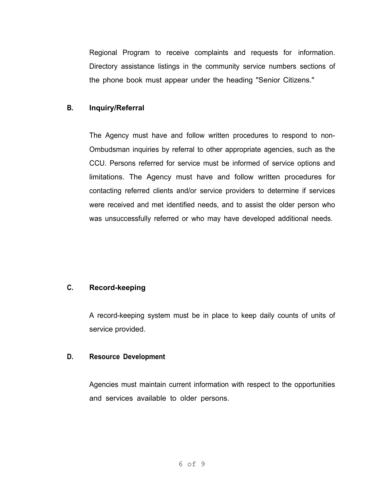Regional Program to receive complaints and requests for information. Directory assistance listings in the community service numbers sections of the phone book must appear under the heading "Senior Citizens."

## **B. Inquiry/Referral**

The Agency must have and follow written procedures to respond to non-Ombudsman inquiries by referral to other appropriate agencies, such as the CCU. Persons referred for service must be informed of service options and limitations. The Agency must have and follow written procedures for contacting referred clients and/or service providers to determine if services were received and met identified needs, and to assist the older person who was unsuccessfully referred or who may have developed additional needs.

# **C. Record-keeping**

A record-keeping system must be in place to keep daily counts of units of service provided.

### **D. Resource Development**

Agencies must maintain current information with respect to the opportunities and services available to older persons.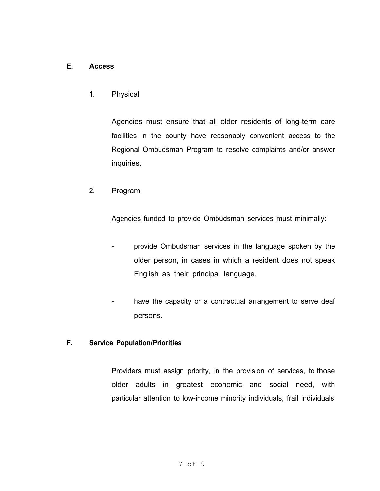## **E. Access**

1. Physical

Agencies must ensure that all older residents of long-term care facilities in the county have reasonably convenient access to the Regional Ombudsman Program to resolve complaints and/or answer inquiries.

2. Program

Agencies funded to provide Ombudsman services must minimally:

- provide Ombudsman services in the language spoken by the older person, in cases in which a resident does not speak English as their principal language.
- have the capacity or a contractual arrangement to serve deaf persons.

### **F. Service Population/Priorities**

Providers must assign priority, in the provision of services, to those older adults in greatest economic and social need, with particular attention to low-income minority individuals, frail individuals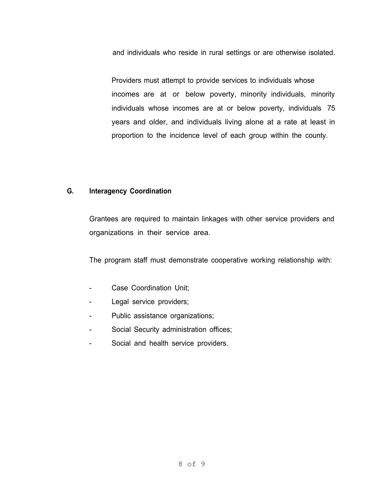and individuals who reside in rural settings or are otherwise isolated.

Providers must attempt to provide services to individuals whose incomes are at or below poverty, minority individuals, minority individuals whose incomes are at or below poverty, individuals 75 years and older, and individuals living alone at a rate at least in proportion to the incidence level of each group within the county.

### **G. Interagency Coordination**

Grantees are required to maintain linkages with other service providers and organizations in their service area.

The program staff must demonstrate cooperative working relationship with:

- Case Coordination Unit;
- Legal service providers;
- Public assistance organizations;
- Social Security administration offices;
- Social and health service providers.